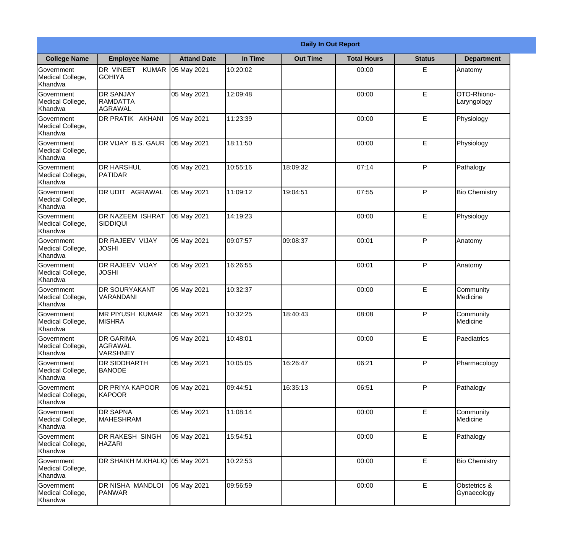|                                                  |                                                |                    |          | <b>Daily In Out Report</b> |                    |               |                             |
|--------------------------------------------------|------------------------------------------------|--------------------|----------|----------------------------|--------------------|---------------|-----------------------------|
| <b>College Name</b>                              | <b>Employee Name</b>                           | <b>Attand Date</b> | In Time  | <b>Out Time</b>            | <b>Total Hours</b> | <b>Status</b> | <b>Department</b>           |
| Government<br>Medical College,<br>Khandwa        | DR VINEET KUMAR<br><b>GOHIYA</b>               | 05 May 2021        | 10:20:02 |                            | 00:00              | E             | Anatomy                     |
| Government<br>Medical College,<br>Khandwa        | <b>DR SANJAY</b><br>RAMDATTA<br>AGRAWAL        | 05 May 2021        | 12:09:48 |                            | 00:00              | E             | OTO-Rhiono-<br>Laryngology  |
| <b>Government</b><br>Medical College,<br>Khandwa | DR PRATIK AKHANI                               | 05 May 2021        | 11:23:39 |                            | 00:00              | E             | Physiology                  |
| Government<br>Medical College,<br>Khandwa        | DR VIJAY B.S. GAUR                             | 05 May 2021        | 18:11:50 |                            | 00:00              | E             | Physiology                  |
| <b>Government</b><br>Medical College,<br>Khandwa | <b>DR HARSHUL</b><br><b>PATIDAR</b>            | 05 May 2021        | 10:55:16 | 18:09:32                   | 07:14              | P             | Pathalogy                   |
| Government<br>Medical College,<br>Khandwa        | DR UDIT AGRAWAL                                | 05 May 2021        | 11:09:12 | 19:04:51                   | 07:55              | P             | <b>Bio Chemistry</b>        |
| Government<br>Medical College,<br>Khandwa        | DR NAZEEM ISHRAT<br><b>SIDDIQUI</b>            | 05 May 2021        | 14:19:23 |                            | 00:00              | E             | Physiology                  |
| Government<br>Medical College,<br>Khandwa        | <b>DR RAJEEV VIJAY</b><br><b>JOSHI</b>         | 05 May 2021        | 09:07:57 | 09:08:37                   | 00:01              | P             | Anatomy                     |
| Government<br>Medical College,<br>Khandwa        | <b>DR RAJEEV VIJAY</b><br><b>JOSHI</b>         | 05 May 2021        | 16:26:55 |                            | 00:01              | P             | Anatomy                     |
| Government<br>Medical College,<br>Khandwa        | <b>DR SOURYAKANT</b><br>VARANDANI              | 05 May 2021        | 10:32:37 |                            | 00:00              | E             | Community<br>Medicine       |
| Government<br>Medical College,<br>Khandwa        | <b>MR PIYUSH KUMAR</b><br><b>MISHRA</b>        | 05 May 2021        | 10:32:25 | 18:40:43                   | 08:08              | $\mathsf{P}$  | Community<br>Medicine       |
| Government<br>Medical College,<br>Khandwa        | <b>DR GARIMA</b><br>AGRAWAL<br><b>VARSHNEY</b> | 05 May 2021        | 10:48:01 |                            | 00:00              | E             | Paediatrics                 |
| Government<br>Medical College,<br>Khandwa        | <b>DR SIDDHARTH</b><br><b>BANODE</b>           | 05 May 2021        | 10:05:05 | 16:26:47                   | 06:21              | P             | Pharmacology                |
| Government<br>Medical College,<br>Khandwa        | DR PRIYA KAPOOR<br><b>KAPOOR</b>               | 05 May 2021        | 09:44:51 | 16:35:13                   | 06:51              | P             | Pathalogy                   |
| <b>Government</b><br>Medical College,<br>Khandwa | <b>DR SAPNA</b><br><b>MAHESHRAM</b>            | 05 May 2021        | 11:08:14 |                            | 00:00              | E             | Community<br>Medicine       |
| Government<br>Medical College,<br>Khandwa        | DR RAKESH SINGH<br><b>HAZARI</b>               | 05 May 2021        | 15:54:51 |                            | 00:00              | E             | Pathalogy                   |
| Government<br>Medical College,<br>Khandwa        | DR SHAIKH M.KHALIQ                             | 05 May 2021        | 10:22:53 |                            | 00:00              | E             | <b>Bio Chemistry</b>        |
| Government<br>Medical College,<br>Khandwa        | DR NISHA MANDLOI<br>PANWAR                     | 05 May 2021        | 09:56:59 |                            | 00:00              | E             | Obstetrics &<br>Gynaecology |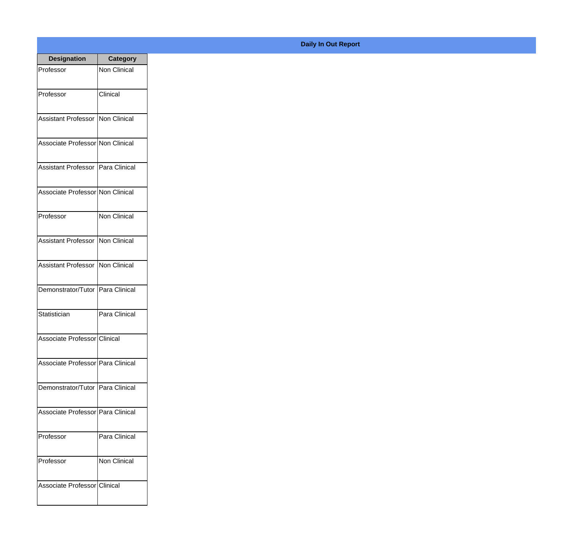| <b>Designation</b>                  | <b>Category</b>     |
|-------------------------------------|---------------------|
| Professor                           | <b>Non Clinical</b> |
| Professor                           | Clinical            |
| <b>Assistant Professor</b>          | <b>Non Clinical</b> |
| Associate Professor Non Clinical    |                     |
| <b>Assistant Professor</b>          | Para Clinical       |
| Associate Professor Non Clinical    |                     |
| Professor                           | <b>Non Clinical</b> |
| <b>Assistant Professor</b>          | <b>Non Clinical</b> |
| <b>Assistant Professor</b>          | <b>Non Clinical</b> |
| Demonstrator/Tutor                  | Para Clinical       |
| Statistician                        | Para Clinical       |
| Associate Professor Clinical        |                     |
| Associate Professor   Para Clinical |                     |
| Demonstrator/Tutor Para Clinical    |                     |
| Associate Professor   Para Clinical |                     |
| Professor                           | Para Clinical       |
| Professor                           | <b>Non Clinical</b> |
| Associate Professor Clinical        |                     |

## **Daily In Out Report**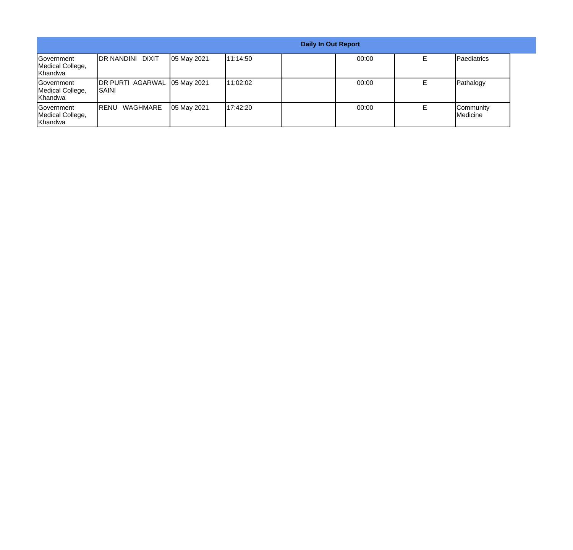|                                           |                                        |             |           | <b>Daily In Out Report</b> |       |                       |
|-------------------------------------------|----------------------------------------|-------------|-----------|----------------------------|-------|-----------------------|
| Government<br>Medical College,<br>Khandwa | <b>IDR NANDINI DIXIT</b>               | 05 May 2021 | 111:14:50 |                            | 00:00 | Paediatrics           |
| Government<br>Medical College,<br>Khandwa | DR PURTI AGARWAL 05 May 2021<br>ISAINI |             | 11:02:02  |                            | 00:00 | Pathalogy             |
| Government<br>Medical College,<br>Khandwa | WAGHMARE<br>IRENU                      | 05 May 2021 | 117:42:20 |                            | 00:00 | Community<br>Medicine |